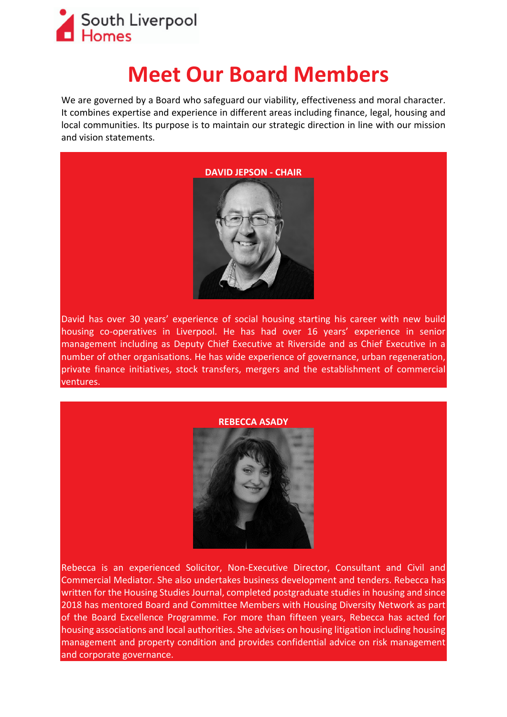

# **Meet Our Board Members**

We are governed by a Board who safeguard our viability, effectiveness and moral character. It combines expertise and experience in different areas including finance, legal, housing and local communities. Its purpose is to maintain our strategic direction in line with our mission and vision statements.

# **DAVID JEPSON - CHAIR**

David has over 30 years' experience of social housing starting his career with new build housing co-operatives in Liverpool. He has had over 16 years' experience in senior management including as Deputy Chief Executive at Riverside and as Chief Executive in a number of other organisations. He has wide experience of governance, urban regeneration, private finance initiatives, stock transfers, mergers and the establishment of commercial ventures.

# **REBECCA ASADY**



Rebecca is an experienced Solicitor, Non-Executive Director, Consultant and Civil and Commercial Mediator. She also undertakes business development and tenders. Rebecca has written for the Housing Studies Journal, completed postgraduate studies in housing and since 2018 has mentored Board and Committee Members with Housing Diversity Network as part of the Board Excellence Programme. For more than fifteen years, Rebecca has acted for housing associations and local authorities. She advises on housing litigation including housing management and property condition and provides confidential advice on risk management and corporate governance.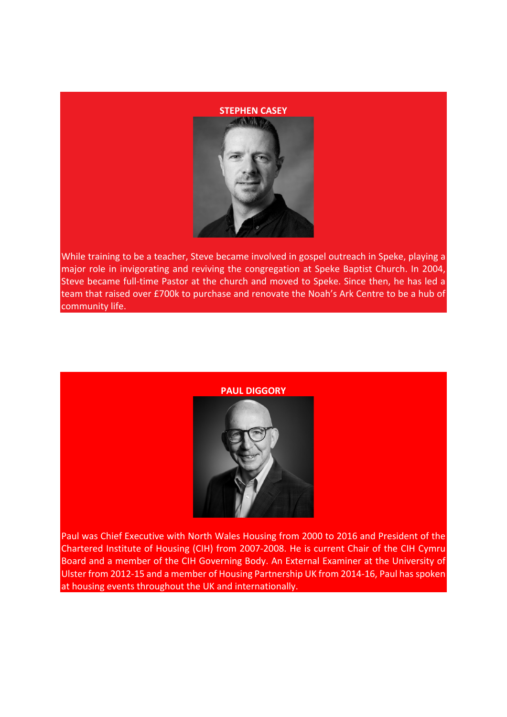

While training to be a teacher, Steve became involved in gospel outreach in Speke, playing a major role in invigorating and reviving the congregation at Speke Baptist Church. In 2004, Steve became full-time Pastor at the church and moved to Speke. Since then, he has led a team that raised over £700k to purchase and renovate the Noah's Ark Centre to be a hub of community life.



Paul was Chief Executive with North Wales Housing from 2000 to 2016 and President of the Chartered Institute of Housing (CIH) from 2007-2008. He is current Chair of the CIH Cymru Board and a member of the CIH Governing Body. An External Examiner at the University of Ulster from 2012-15 and a member of Housing Partnership UK from 2014-16, Paul has spoken at housing events throughout the UK and internationally.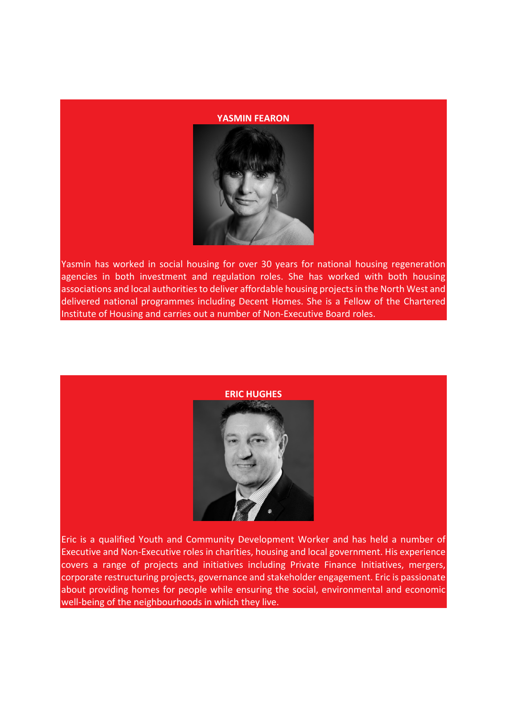### **YASMIN FEARON**



Yasmin has worked in social housing for over 30 years for national housing regeneration agencies in both investment and regulation roles. She has worked with both housing associations and local authorities to deliver affordable housing projects in the North West and delivered national programmes including Decent Homes. She is a Fellow of the Chartered Institute of Housing and carries out a number of Non-Executive Board roles.



Eric is a qualified Youth and Community Development Worker and has held a number of Executive and Non-Executive roles in charities, housing and local government. His experience covers a range of projects and initiatives including Private Finance Initiatives, mergers, corporate restructuring projects, governance and stakeholder engagement. Eric is passionate about providing homes for people while ensuring the social, environmental and economic well-being of the neighbourhoods in which they live.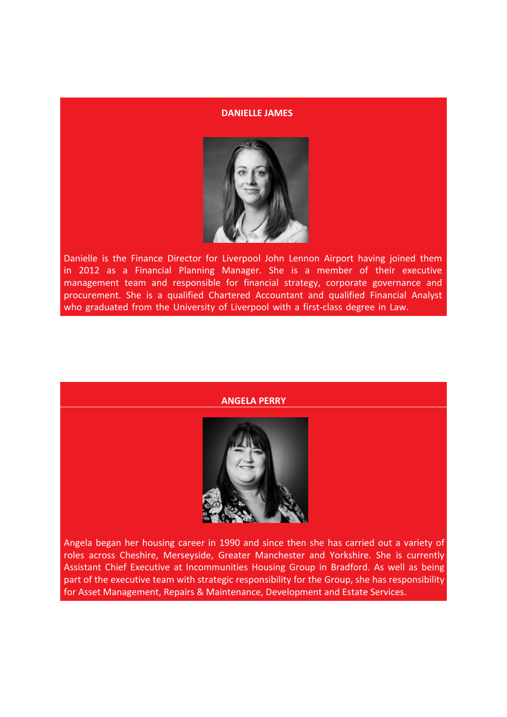### **DANIELLE JAMES**



Danielle is the Finance Director for Liverpool John Lennon Airport having joined them in 2012 as a Financial Planning Manager. She is a member of their executive management team and responsible for financial strategy, corporate governance and procurement. She is a qualified Chartered Accountant and qualified Financial Analyst who graduated from the University of Liverpool with a first-class degree in Law.



Angela began her housing career in 1990 and since then she has carried out a variety of roles across Cheshire, Merseyside, Greater Manchester and Yorkshire. She is currently Assistant Chief Executive at Incommunities Housing Group in Bradford. As well as being part of the executive team with strategic responsibility for the Group, she has responsibility for Asset Management, Repairs & Maintenance, Development and Estate Services.